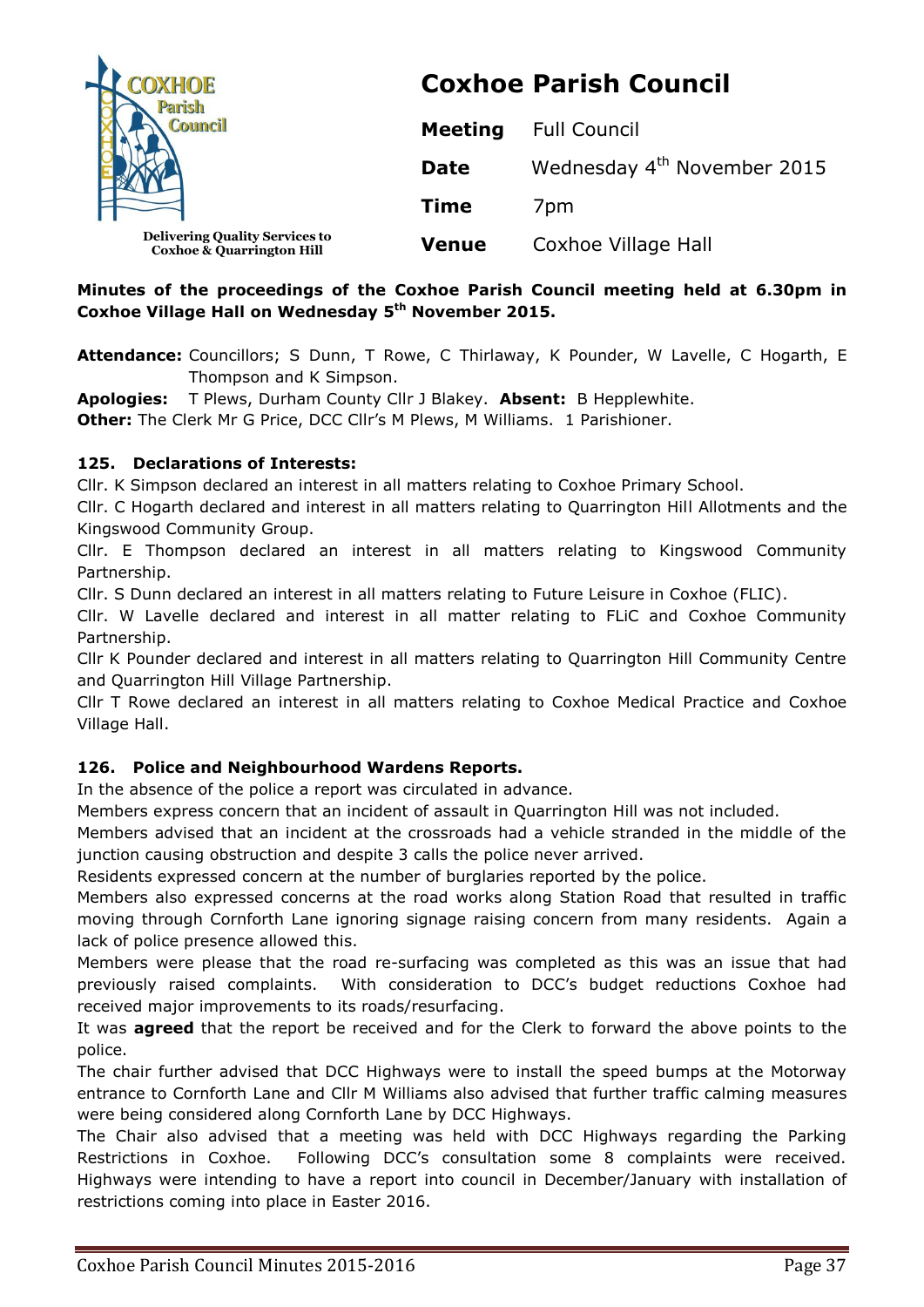| <b>OXHOE</b>                                                                  | <b>Coxhoe Parish Council</b> |                                         |
|-------------------------------------------------------------------------------|------------------------------|-----------------------------------------|
|                                                                               | <b>Meeting</b>               | <b>Full Council</b>                     |
|                                                                               | <b>Date</b>                  | Wednesday 4 <sup>th</sup> November 2015 |
|                                                                               | <b>Time</b>                  | 7 <sub>pm</sub>                         |
| <b>Delivering Quality Services to</b><br><b>Coxhoe &amp; Quarrington Hill</b> | <b>Venue</b>                 | Coxhoe Village Hall                     |

## **Minutes of the proceedings of the Coxhoe Parish Council meeting held at 6.30pm in Coxhoe Village Hall on Wednesday 5 th November 2015.**

**Attendance:** Councillors; S Dunn, T Rowe, C Thirlaway, K Pounder, W Lavelle, C Hogarth, E Thompson and K Simpson.

**Apologies:** T Plews, Durham County Cllr J Blakey. **Absent:** B Hepplewhite. **Other:** The Clerk Mr G Price, DCC Cllr's M Plews, M Williams. 1 Parishioner.

### **125. Declarations of Interests:**

Cllr. K Simpson declared an interest in all matters relating to Coxhoe Primary School.

Cllr. C Hogarth declared and interest in all matters relating to Quarrington Hill Allotments and the Kingswood Community Group.

Cllr. E Thompson declared an interest in all matters relating to Kingswood Community Partnership.

Cllr. S Dunn declared an interest in all matters relating to Future Leisure in Coxhoe (FLIC).

Cllr. W Lavelle declared and interest in all matter relating to FLiC and Coxhoe Community Partnership.

Cllr K Pounder declared and interest in all matters relating to Quarrington Hill Community Centre and Quarrington Hill Village Partnership.

Cllr T Rowe declared an interest in all matters relating to Coxhoe Medical Practice and Coxhoe Village Hall.

# **126. Police and Neighbourhood Wardens Reports.**

In the absence of the police a report was circulated in advance.

Members express concern that an incident of assault in Quarrington Hill was not included.

Members advised that an incident at the crossroads had a vehicle stranded in the middle of the junction causing obstruction and despite 3 calls the police never arrived.

Residents expressed concern at the number of burglaries reported by the police.

Members also expressed concerns at the road works along Station Road that resulted in traffic moving through Cornforth Lane ignoring signage raising concern from many residents. Again a lack of police presence allowed this.

Members were please that the road re-surfacing was completed as this was an issue that had previously raised complaints. With consideration to DCC's budget reductions Coxhoe had received major improvements to its roads/resurfacing.

It was **agreed** that the report be received and for the Clerk to forward the above points to the police.

The chair further advised that DCC Highways were to install the speed bumps at the Motorway entrance to Cornforth Lane and Cllr M Williams also advised that further traffic calming measures were being considered along Cornforth Lane by DCC Highways.

The Chair also advised that a meeting was held with DCC Highways regarding the Parking Restrictions in Coxhoe. Following DCC's consultation some 8 complaints were received. Highways were intending to have a report into council in December/January with installation of restrictions coming into place in Easter 2016.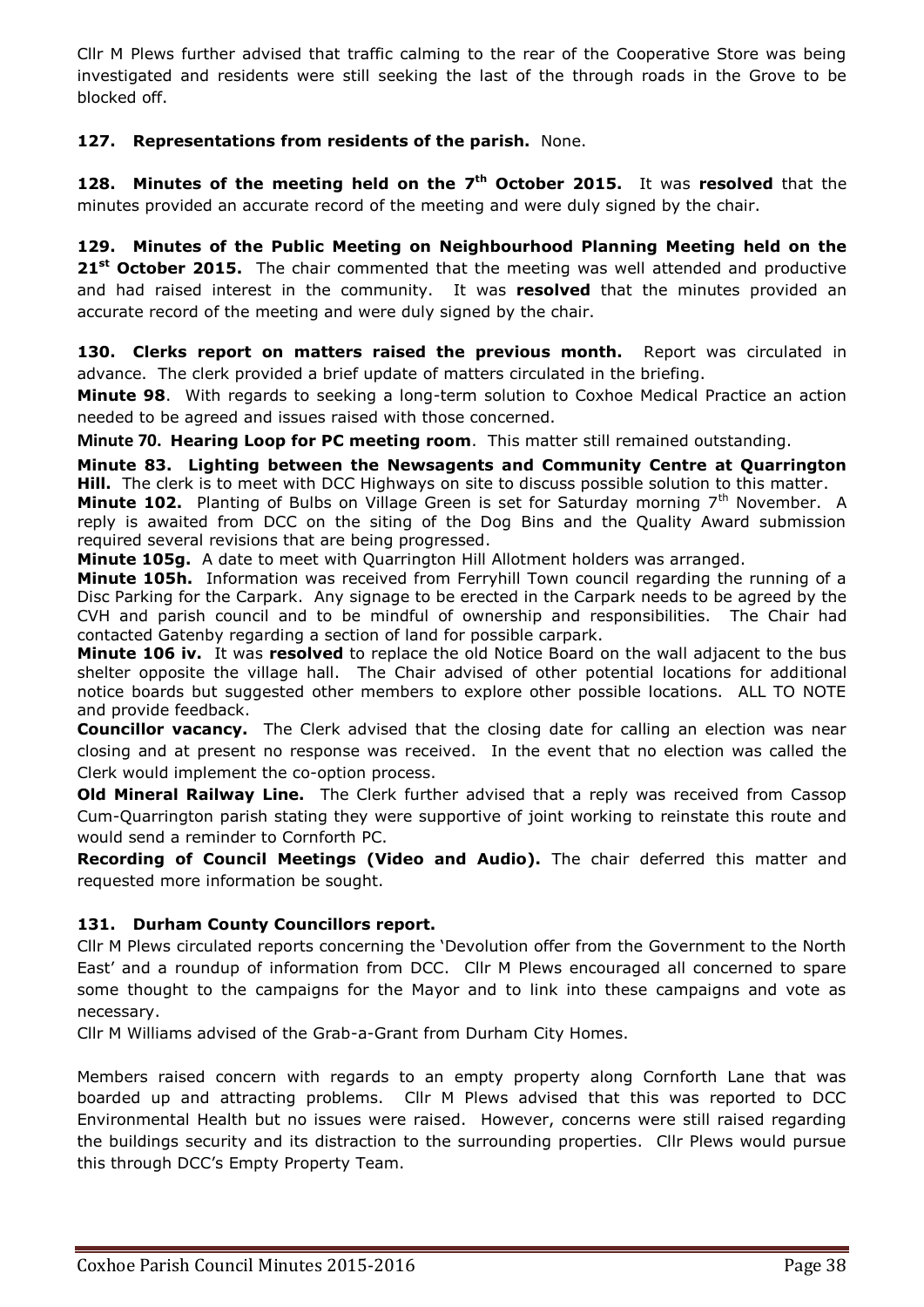Cllr M Plews further advised that traffic calming to the rear of the Cooperative Store was being investigated and residents were still seeking the last of the through roads in the Grove to be blocked off.

# **127. Representations from residents of the parish.** None.

**128. Minutes of the meeting held on the 7<sup>th</sup> October 2015. It was resolved that the** minutes provided an accurate record of the meeting and were duly signed by the chair.

**129. Minutes of the Public Meeting on Neighbourhood Planning Meeting held on the 21st October 2015.** The chair commented that the meeting was well attended and productive and had raised interest in the community. It was **resolved** that the minutes provided an accurate record of the meeting and were duly signed by the chair.

**130. Clerks report on matters raised the previous month.** Report was circulated in advance. The clerk provided a brief update of matters circulated in the briefing.

**Minute 98**. With regards to seeking a long-term solution to Coxhoe Medical Practice an action needed to be agreed and issues raised with those concerned.

**Minute 70. Hearing Loop for PC meeting room**. This matter still remained outstanding.

**Minute 83. Lighting between the Newsagents and Community Centre at Quarrington Hill.** The clerk is to meet with DCC Highways on site to discuss possible solution to this matter.

**Minute 102.** Planting of Bulbs on Village Green is set for Saturday morning 7<sup>th</sup> November. A reply is awaited from DCC on the siting of the Dog Bins and the Quality Award submission required several revisions that are being progressed.

**Minute 105g.** A date to meet with Quarrington Hill Allotment holders was arranged.

**Minute 105h.** Information was received from Ferryhill Town council regarding the running of a Disc Parking for the Carpark. Any signage to be erected in the Carpark needs to be agreed by the CVH and parish council and to be mindful of ownership and responsibilities. The Chair had contacted Gatenby regarding a section of land for possible carpark.

**Minute 106 iv.** It was **resolved** to replace the old Notice Board on the wall adjacent to the bus shelter opposite the village hall. The Chair advised of other potential locations for additional notice boards but suggested other members to explore other possible locations. ALL TO NOTE and provide feedback.

**Councillor vacancy.** The Clerk advised that the closing date for calling an election was near closing and at present no response was received. In the event that no election was called the Clerk would implement the co-option process.

**Old Mineral Railway Line.** The Clerk further advised that a reply was received from Cassop Cum-Quarrington parish stating they were supportive of joint working to reinstate this route and would send a reminder to Cornforth PC.

**Recording of Council Meetings (Video and Audio).** The chair deferred this matter and requested more information be sought.

### **131. Durham County Councillors report.**

Cllr M Plews circulated reports concerning the 'Devolution offer from the Government to the North East' and a roundup of information from DCC. Cllr M Plews encouraged all concerned to spare some thought to the campaigns for the Mayor and to link into these campaigns and vote as necessary.

Cllr M Williams advised of the Grab-a-Grant from Durham City Homes.

Members raised concern with regards to an empty property along Cornforth Lane that was boarded up and attracting problems. Cllr M Plews advised that this was reported to DCC Environmental Health but no issues were raised. However, concerns were still raised regarding the buildings security and its distraction to the surrounding properties. Cllr Plews would pursue this through DCC's Empty Property Team.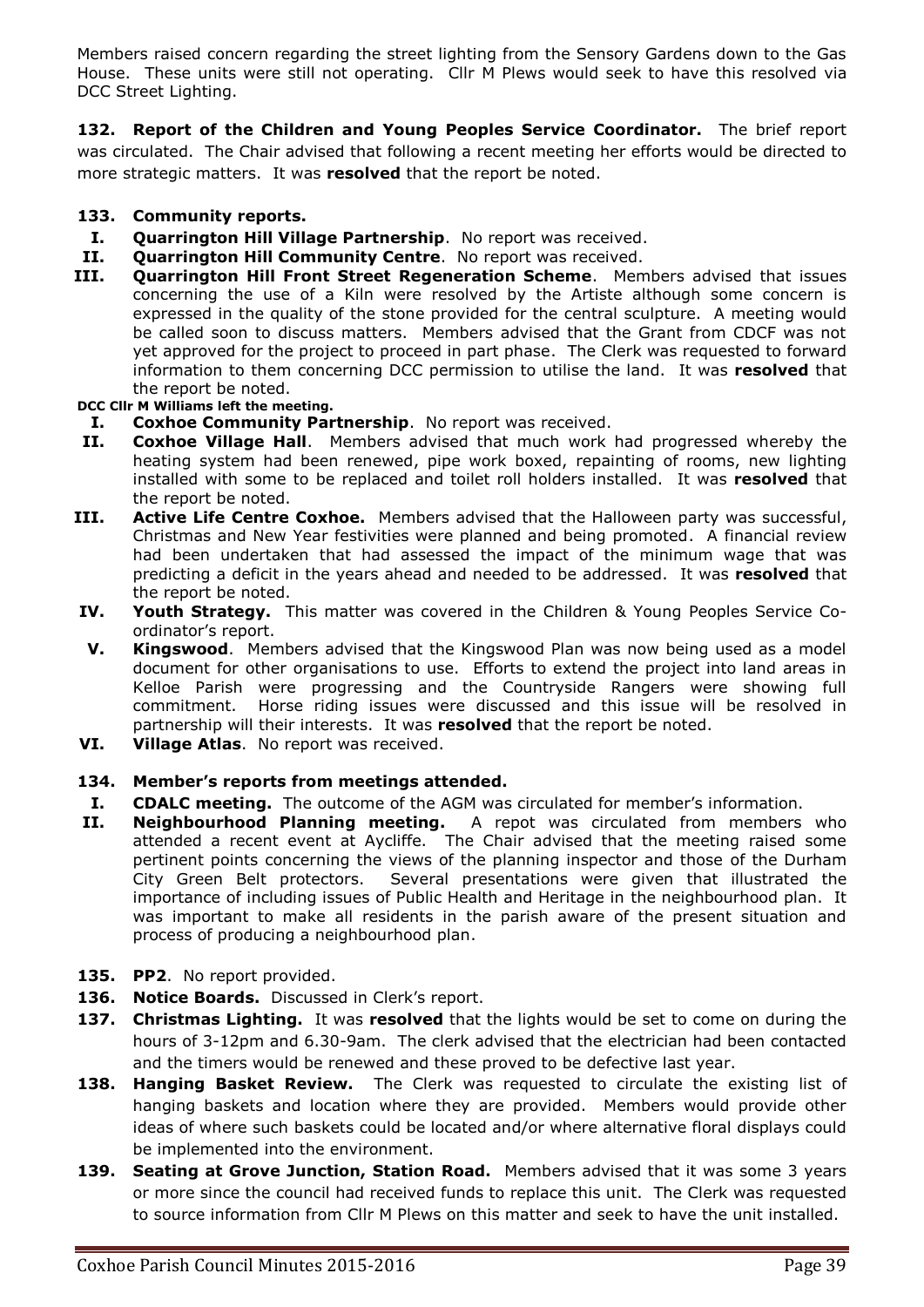Members raised concern regarding the street lighting from the Sensory Gardens down to the Gas House. These units were still not operating. Cllr M Plews would seek to have this resolved via DCC Street Lighting.

**132. Report of the Children and Young Peoples Service Coordinator.** The brief report was circulated. The Chair advised that following a recent meeting her efforts would be directed to more strategic matters. It was **resolved** that the report be noted.

### **133. Community reports.**

- **I. Quarrington Hill Village Partnership**. No report was received.
- **II. Quarrington Hill Community Centre**. No report was received.
- **III. Quarrington Hill Front Street Regeneration Scheme**. Members advised that issues concerning the use of a Kiln were resolved by the Artiste although some concern is expressed in the quality of the stone provided for the central sculpture. A meeting would be called soon to discuss matters. Members advised that the Grant from CDCF was not yet approved for the project to proceed in part phase. The Clerk was requested to forward information to them concerning DCC permission to utilise the land. It was **resolved** that the report be noted.

**DCC Cllr M Williams left the meeting.**

- **I. Coxhoe Community Partnership**. No report was received.
- **II. Coxhoe Village Hall**. Members advised that much work had progressed whereby the heating system had been renewed, pipe work boxed, repainting of rooms, new lighting installed with some to be replaced and toilet roll holders installed. It was **resolved** that the report be noted.
- **III. Active Life Centre Coxhoe.** Members advised that the Halloween party was successful, Christmas and New Year festivities were planned and being promoted. A financial review had been undertaken that had assessed the impact of the minimum wage that was predicting a deficit in the years ahead and needed to be addressed. It was **resolved** that the report be noted.
- **IV. Youth Strategy.** This matter was covered in the Children & Young Peoples Service Coordinator's report.
- **V. Kingswood**. Members advised that the Kingswood Plan was now being used as a model document for other organisations to use. Efforts to extend the project into land areas in Kelloe Parish were progressing and the Countryside Rangers were showing full commitment. Horse riding issues were discussed and this issue will be resolved in partnership will their interests. It was **resolved** that the report be noted.
- **VI. Village Atlas**. No report was received.

### **134. Member's reports from meetings attended.**

- **I. CDALC meeting.** The outcome of the AGM was circulated for member's information.
- **II. Neighbourhood Planning meeting.** A repot was circulated from members who attended a recent event at Aycliffe. The Chair advised that the meeting raised some pertinent points concerning the views of the planning inspector and those of the Durham City Green Belt protectors. Several presentations were given that illustrated the importance of including issues of Public Health and Heritage in the neighbourhood plan. It was important to make all residents in the parish aware of the present situation and process of producing a neighbourhood plan.
- **135. PP2**. No report provided.
- **136. Notice Boards.** Discussed in Clerk's report.
- **137. Christmas Lighting.** It was **resolved** that the lights would be set to come on during the hours of 3-12pm and 6.30-9am. The clerk advised that the electrician had been contacted and the timers would be renewed and these proved to be defective last year.
- **138. Hanging Basket Review.** The Clerk was requested to circulate the existing list of hanging baskets and location where they are provided. Members would provide other ideas of where such baskets could be located and/or where alternative floral displays could be implemented into the environment.
- **139. Seating at Grove Junction, Station Road.** Members advised that it was some 3 years or more since the council had received funds to replace this unit. The Clerk was requested to source information from Cllr M Plews on this matter and seek to have the unit installed.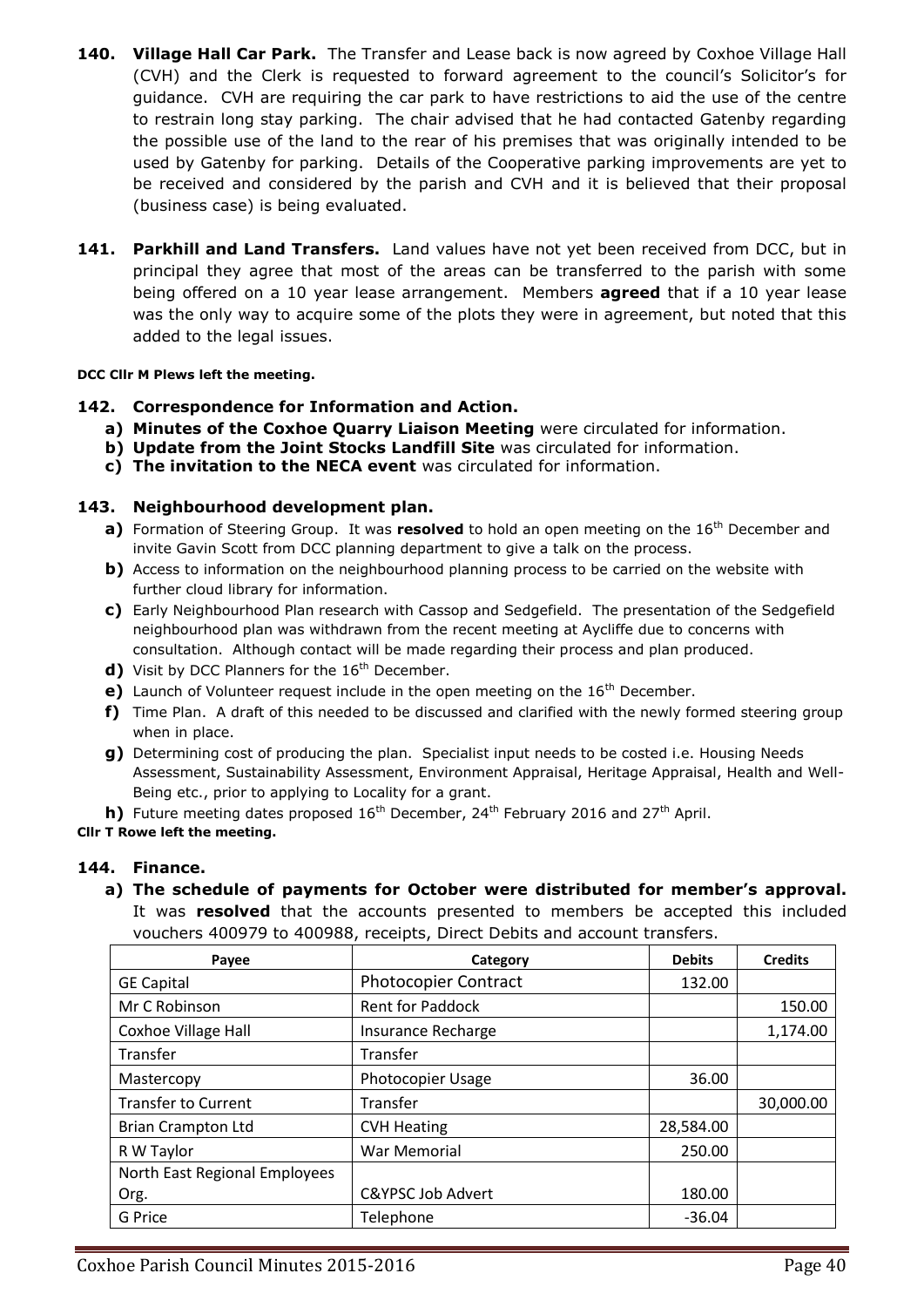- **140. Village Hall Car Park.** The Transfer and Lease back is now agreed by Coxhoe Village Hall (CVH) and the Clerk is requested to forward agreement to the council's Solicitor's for guidance. CVH are requiring the car park to have restrictions to aid the use of the centre to restrain long stay parking. The chair advised that he had contacted Gatenby regarding the possible use of the land to the rear of his premises that was originally intended to be used by Gatenby for parking. Details of the Cooperative parking improvements are yet to be received and considered by the parish and CVH and it is believed that their proposal (business case) is being evaluated.
- 141. Parkhill and Land Transfers. Land values have not yet been received from DCC, but in principal they agree that most of the areas can be transferred to the parish with some being offered on a 10 year lease arrangement. Members **agreed** that if a 10 year lease was the only way to acquire some of the plots they were in agreement, but noted that this added to the legal issues.

#### **DCC Cllr M Plews left the meeting.**

- **142. Correspondence for Information and Action.**
	- **a) Minutes of the Coxhoe Quarry Liaison Meeting** were circulated for information.
	- **b) Update from the Joint Stocks Landfill Site** was circulated for information.
	- **c) The invitation to the NECA event** was circulated for information.

### **143. Neighbourhood development plan.**

- **a)** Formation of Steering Group. It was **resolved** to hold an open meeting on the 16<sup>th</sup> December and invite Gavin Scott from DCC planning department to give a talk on the process.
- **b)** Access to information on the neighbourhood planning process to be carried on the website with further cloud library for information.
- **c)** Early Neighbourhood Plan research with Cassop and Sedgefield. The presentation of the Sedgefield neighbourhood plan was withdrawn from the recent meeting at Aycliffe due to concerns with consultation. Although contact will be made regarding their process and plan produced.
- **d)** Visit by DCC Planners for the 16<sup>th</sup> December.
- **e)** Launch of Volunteer request include in the open meeting on the 16<sup>th</sup> December.
- **f)** Time Plan. A draft of this needed to be discussed and clarified with the newly formed steering group when in place.
- **g)** Determining cost of producing the plan. Specialist input needs to be costed i.e. Housing Needs Assessment, Sustainability Assessment, Environment Appraisal, Heritage Appraisal, Health and Well-Being etc., prior to applying to Locality for a grant.
- **h)** Future meeting dates proposed 16<sup>th</sup> December, 24<sup>th</sup> February 2016 and 27<sup>th</sup> April.

### **Cllr T Rowe left the meeting.**

### **144. Finance.**

**a) The schedule of payments for October were distributed for member's approval.**  It was **resolved** that the accounts presented to members be accepted this included vouchers 400979 to 400988, receipts, Direct Debits and account transfers.

| Payee                         | Category                     | <b>Debits</b> | <b>Credits</b> |
|-------------------------------|------------------------------|---------------|----------------|
| <b>GE Capital</b>             | <b>Photocopier Contract</b>  | 132.00        |                |
| Mr C Robinson                 | <b>Rent for Paddock</b>      |               | 150.00         |
| <b>Coxhoe Village Hall</b>    | <b>Insurance Recharge</b>    |               | 1,174.00       |
| Transfer                      | Transfer                     |               |                |
| Mastercopy                    | <b>Photocopier Usage</b>     | 36.00         |                |
| <b>Transfer to Current</b>    | Transfer                     |               | 30,000.00      |
| <b>Brian Crampton Ltd</b>     | <b>CVH Heating</b>           | 28,584.00     |                |
| R W Taylor                    | War Memorial                 | 250.00        |                |
| North East Regional Employees |                              |               |                |
| Org.                          | <b>C&amp;YPSC Job Advert</b> | 180.00        |                |
| G Price                       | Telephone                    | $-36.04$      |                |